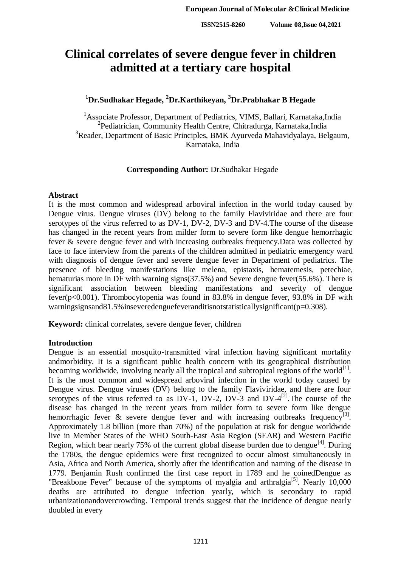# **Clinical correlates of severe dengue fever in children admitted at a tertiary care hospital**

# **<sup>1</sup>Dr.Sudhakar Hegade, <sup>2</sup>Dr.Karthikeyan, <sup>3</sup>Dr.Prabhakar B Hegade**

<sup>1</sup> Associate Professor, Department of Pediatrics, VIMS, Ballari, Karnataka, India <sup>2</sup> Pediatrician, Community Health Centre, Chitradurga, Karnataka, India <sup>3</sup>Reader, Department of Basic Principles, BMK Ayurveda Mahavidyalaya, Belgaum, Karnataka, India

#### **Corresponding Author:** Dr.Sudhakar Hegade

#### **Abstract**

It is the most common and widespread arboviral infection in the world today caused by Dengue virus. Dengue viruses (DV) belong to the family Flaviviridae and there are four serotypes of the virus referred to as DV-1, DV-2, DV-3 and DV-4.The course of the disease has changed in the recent years from milder form to severe form like dengue hemorrhagic fever & severe dengue fever and with increasing outbreaks frequency.Data was collected by face to face interview from the parents of the children admitted in pediatric emergency ward with diagnosis of dengue fever and severe dengue fever in Department of pediatrics. The presence of bleeding manifestations like melena, epistaxis, hematemesis, petechiae, hematurias more in DF with warning signs(37.5%) and Severe dengue fever(55.6%). There is significant association between bleeding manifestations and severity of dengue fever(p<0.001). Thrombocytopenia was found in 83.8% in dengue fever, 93.8% in DF with warningsignsand81.5% inseveredenguefeveranditisnotstatisticallysignificant(p=0.308).

**Keyword:** clinical correlates, severe dengue fever, children

#### **Introduction**

Dengue is an essential mosquito-transmitted viral infection having significant mortality andmorbidity. It is a significant public health concern with its geographical distribution becoming worldwide, involving nearly all the tropical and subtropical regions of the world $^{[1]}$ . It is the most common and widespread arboviral infection in the world today caused by Dengue virus. Dengue viruses (DV) belong to the family Flaviviridae, and there are four serotypes of the virus referred to as DV-1, DV-2, DV-3 and DV- $4^{[2]}$ . The course of the disease has changed in the recent years from milder form to severe form like dengue hemorrhagic fever  $\&$  severe dengue fever and with increasing outbreaks frequency<sup>[3]</sup>. Approximately 1.8 billion (more than 70%) of the population at risk for dengue worldwide live in Member States of the WHO South-East Asia Region (SEAR) and Western Pacific Region, which bear nearly 75% of the current global disease burden due to dengue<sup>[4]</sup>. During the 1780s, the dengue epidemics were first recognized to occur almost simultaneously in Asia, Africa and North America, shortly after the identification and naming of the disease in 1779. Benjamin Rush confirmed the first case report in 1789 and he coinedDengue as "Breakbone Fever" because of the symptoms of myalgia and arthralgia<sup>[5]</sup>. Nearly 10,000 deaths are attributed to dengue infection yearly, which is secondary to rapid urbanizationandovercrowding. Temporal trends suggest that the incidence of dengue nearly doubled in every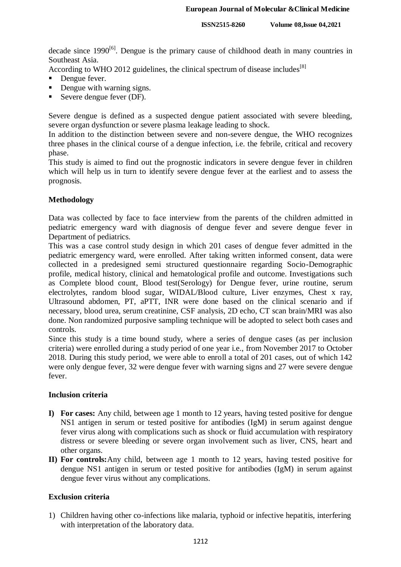decade since 1990<sup>[6]</sup>. Dengue is the primary cause of childhood death in many countries in Southeast Asia.

According to WHO 2012 guidelines, the clinical spectrum of disease includes<sup>[8]</sup>

- Dengue fever.
- Dengue with warning signs.
- Severe dengue fever (DF).

Severe dengue is defined as a suspected dengue patient associated with severe bleeding, severe organ dysfunction or severe plasma leakage leading to shock.

In addition to the distinction between severe and non-severe dengue, the WHO recognizes three phases in the clinical course of a dengue infection, i.e. the febrile, critical and recovery phase.

This study is aimed to find out the prognostic indicators in severe dengue fever in children which will help us in turn to identify severe dengue fever at the earliest and to assess the prognosis.

#### **Methodology**

Data was collected by face to face interview from the parents of the children admitted in pediatric emergency ward with diagnosis of dengue fever and severe dengue fever in Department of pediatrics.

This was a case control study design in which 201 cases of dengue fever admitted in the pediatric emergency ward, were enrolled. After taking written informed consent, data were collected in a predesigned semi structured questionnaire regarding Socio-Demographic profile, medical history, clinical and hematological profile and outcome. Investigations such as Complete blood count, Blood test(Serology) for Dengue fever, urine routine, serum electrolytes, random blood sugar, WIDAL/Blood culture, Liver enzymes, Chest x ray, Ultrasound abdomen, PT, aPTT, INR were done based on the clinical scenario and if necessary, blood urea, serum creatinine, CSF analysis, 2D echo, CT scan brain/MRI was also done. Non randomized purposive sampling technique will be adopted to select both cases and controls.

Since this study is a time bound study, where a series of dengue cases (as per inclusion criteria) were enrolled during a study period of one year i.e., from November 2017 to October 2018. During this study period, we were able to enroll a total of 201 cases, out of which 142 were only dengue fever, 32 were dengue fever with warning signs and 27 were severe dengue fever.

#### **Inclusion criteria**

- **I) For cases:** Any child, between age 1 month to 12 years, having tested positive for dengue NS1 antigen in serum or tested positive for antibodies (IgM) in serum against dengue fever virus along with complications such as shock or fluid accumulation with respiratory distress or severe bleeding or severe organ involvement such as liver, CNS, heart and other organs.
- **II) For controls:**Any child, between age 1 month to 12 years, having tested positive for dengue NS1 antigen in serum or tested positive for antibodies (IgM) in serum against dengue fever virus without any complications.

#### **Exclusion criteria**

1) Children having other co-infections like malaria, typhoid or infective hepatitis, interfering with interpretation of the laboratory data.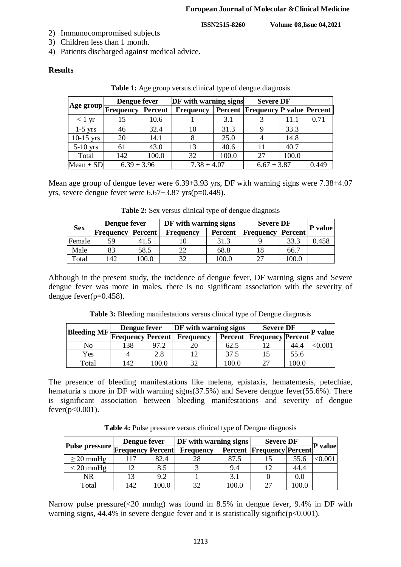- 2) Immunocompromised subjects
- 3) Children less than 1 month.
- 4) Patients discharged against medical advice.

## **Results**

|                  |                               | Dengue fever |                  | DF with warning signs |                                          | <b>Severe DF</b> |       |
|------------------|-------------------------------|--------------|------------------|-----------------------|------------------------------------------|------------------|-------|
|                  | Age group  Frequency  Percent |              | <b>Frequency</b> |                       | <b>Percent Frequency P value Percent</b> |                  |       |
| $< 1 \text{ yr}$ | 15                            | 10.6         |                  | 3.1                   |                                          | 11.1             | 0.71  |
| $1-5$ yrs        | 46                            | 32.4         | 10               | 31.3                  |                                          | 33.3             |       |
| $10-15$ yrs      | 20                            | 14.1         |                  | 25.0                  |                                          | 14.8             |       |
| $5-10$ yrs       | 61                            | 43.0         | 13               | 40.6                  | 11                                       | 40.7             |       |
| Total            | 142                           | 100.0        | 32               | 100.0                 | 27                                       | 100.0            |       |
| Mean $\pm$ SD    | $6.39 \pm 3.96$               |              | $7.38 \pm 4.07$  |                       | $6.67 \pm 3.87$                          |                  | 0.449 |

**Table 1:** Age group versus clinical type of dengue diagnosis

Mean age group of dengue fever were 6.39+3.93 yrs, DF with warning signs were 7.38+4.07 yrs, severe dengue fever were 6.67+3.87 yrs(p=0.449).

| <b>Sex</b> | Dengue fever     |         | DF with warning signs |                | <b>Severe DF</b> |         |                |
|------------|------------------|---------|-----------------------|----------------|------------------|---------|----------------|
|            | <b>Frequency</b> | Percent | <b>Frequency</b>      | <b>Percent</b> | Frequency        | Percent | <b>P</b> value |
| Female     | 59               | 41.5    |                       | 31.3           |                  | 33.3    | 0.458          |
| Male       | 83               | 58.5    | 22                    | 68.8           | 18               | 66.7    |                |
| Total      | 142              | .00.0   | 32                    | 100.0          |                  | 100.C   |                |

**Table 2:** Sex versus clinical type of dengue diagnosis

Although in the present study, the incidence of dengue fever, DF warning signs and Severe dengue fever was more in males, there is no significant association with the severity of dengue fever( $p=0.458$ ).

**Table 3:** Bleeding manifestations versus clinical type of Dengue diagnosis

|                    | Dengue fever             |      | DF with warning signs |       | <b>Severe DF</b>                 |       | <b>P</b> valuel |
|--------------------|--------------------------|------|-----------------------|-------|----------------------------------|-------|-----------------|
| <b>Bleeding MF</b> | <b>Frequency Percent</b> |      | <b>Frequency</b>      |       | <b>Percent Frequency Percent</b> |       |                 |
| No                 | 138                      | 97.2 |                       | 62.5  |                                  | 44.4  | 0.00            |
| Yes                |                          | 2.8  |                       | 37.5  |                                  | 55.6  |                 |
| Total              | 142                      | 00.0 | 20                    | 100.0 |                                  | 100.0 |                 |

The presence of bleeding manifestations like melena, epistaxis, hematemesis, petechiae, hematuria s more in DF with warning signs(37.5%) and Severe dengue fever(55.6%). There is significant association between bleeding manifestations and severity of dengue  $fever(p<0.001)$ .

**Table 4:** Pulse pressure versus clinical type of Dengue diagnosis

|                                            | Dengue fever |       | DF with warning signs |       | <b>Severe DF</b>                 |      |                |
|--------------------------------------------|--------------|-------|-----------------------|-------|----------------------------------|------|----------------|
| Pulse pressure Frequency Percent Frequency |              |       |                       |       | <b>Percent Frequency Percent</b> |      | <b>P</b> value |
| $\geq$ 20 mmHg                             | 117          | 82.4  | 28                    | 87.5  |                                  | 55.6 | $<\!\!0.001$   |
| $<$ 20 mmHg                                | 12           | 8.5   |                       | 9.4   | 12                               | 44.4 |                |
| NR                                         | 13           | 9.2   |                       | 3.1   |                                  | 0.0  |                |
| Total                                      | 142          | 100.0 | 32                    | 100.0 | 27                               | 0.00 |                |

Narrow pulse pressure(<20 mmhg) was found in 8.5% in dengue fever, 9.4% in DF with warning signs,  $44.4\%$  in severe dengue fever and it is statistically signific( $p<0.001$ ).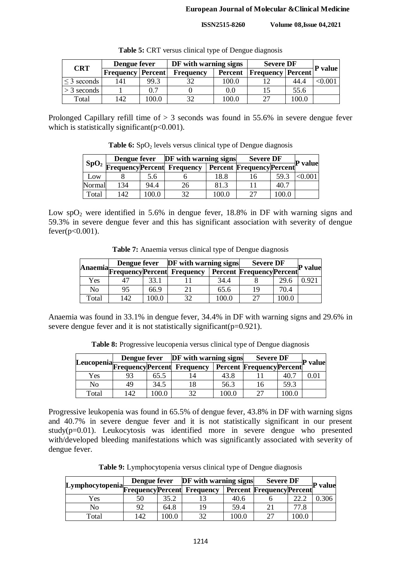| <b>CRT</b>       | Dengue fever             |       | DF with warning signs |                | <b>Severe DF</b>         | <b>P</b> value |               |
|------------------|--------------------------|-------|-----------------------|----------------|--------------------------|----------------|---------------|
|                  | <b>Frequency Percent</b> |       | <b>Frequency</b>      | <b>Percent</b> | <b>Frequency Percent</b> |                |               |
| $\leq$ 3 seconds | 41                       | 99.3  |                       | 100.0          |                          | 44.4           | $< \!\! 0.00$ |
| $>$ 3 seconds    |                          | 0.7   |                       | 0.0            |                          | 55.6           |               |
| Total            | 42                       | 100.0 | 32                    | 100.0          | つつ                       | 100.0          |               |

Table 5: CRT versus clinical type of Dengue diagnosis

Prolonged Capillary refill time of > 3 seconds was found in 55.6% in severe dengue fever which is statistically significant( $p<0.001$ ).

**Table 6:** SpO<sub>2</sub> levels versus clinical type of Dengue diagnosis

|        | Dengue fever |      | <b>DF</b> with warning signs                               |       | <b>Severe DF</b>                 | <b>P</b> value |        |
|--------|--------------|------|------------------------------------------------------------|-------|----------------------------------|----------------|--------|
|        |              |      | $\frac{1}{1}$ SpO <sub>2</sub> Frequency Percent Frequency |       | <b>Percent Frequency Percent</b> |                |        |
| Low    |              | 5.6  |                                                            | 18.8  | 16                               | 59.3           | < 0.00 |
| Normal | 134          | 94.4 | 26                                                         | 81.3  |                                  | 40.7           |        |
| Total  | 142          | 00.0 | 32                                                         | 100.0 | 27                               | 100.0          |        |

Low  $spO<sub>2</sub>$  were identified in 5.6% in dengue fever, 18.8% in DF with warning signs and 59.3% in severe dengue fever and this has significant association with severity of dengue  $fever(p<0.001)$ .

**Table 7:** Anaemia versus clinical type of Dengue diagnosis

|       | Dengue fever |      | <b>DF</b> with warning signs        |       | <b>Severe DF</b>                 |       |                |
|-------|--------------|------|-------------------------------------|-------|----------------------------------|-------|----------------|
|       |              |      | Anaemia Frequency Percent Frequency |       | <b>Percent Frequency Percent</b> |       | <b>P</b> value |
| Yes   |              | 33.1 |                                     | 34.4  |                                  | 29.6  | 0.921          |
| No    | 95           | 66.9 |                                     | 65.6  | 19                               | 70.4  |                |
| Total | 142          | 00.0 |                                     | 100.0 | 27                               | 100.0 |                |

Anaemia was found in 33.1% in dengue fever, 34.4% in DF with warning signs and 29.6% in severe dengue fever and it is not statistically significant( $p=0.921$ ).

**Table 8:** Progressive leucopenia versus clinical type of Dengue diagnosis

|       | Dengue fever |      | <b>DF</b> with warning signs           |       | <b>Severe DF</b>                 |       | <b>P</b> value |
|-------|--------------|------|----------------------------------------|-------|----------------------------------|-------|----------------|
|       |              |      | Leucopenia Frequency Percent Frequency |       | <b>Percent Frequency Percent</b> |       |                |
| Yes   | 93           | 65.5 |                                        | 43.8  |                                  | 40.7  | $0.01\,$       |
| No    | 49           | 34.5 |                                        | 56.3  | I h                              | 59.3  |                |
| Total | 142          | 00.0 | 20                                     | 100.0 | $\mathbin{\lnot}$                | 100.0 |                |

Progressive leukopenia was found in 65.5% of dengue fever, 43.8% in DF with warning signs and 40.7% in severe dengue fever and it is not statistically significant in our present study(p=0.01). Leukocytosis was identified more in severe dengue who presented with/developed bleeding manifestations which was significantly associated with severity of dengue fever.

**Table 9:** Lymphocytopenia versus clinical type of Dengue diagnosis

|                                               |     |       | Dengue fever DF with warning signs |       | <b>Severe DF</b>                 | P value |       |
|-----------------------------------------------|-----|-------|------------------------------------|-------|----------------------------------|---------|-------|
| [Lymphocytopenia] Frequency Percent Frequency |     |       |                                    |       | <b>Percent Frequency Percent</b> |         |       |
| Yes                                           |     | 35.2  |                                    | 40.6  |                                  | ററ റ    | 0.306 |
| No                                            | 92  | 64.8  | 19                                 | 59.4  |                                  | 77.8    |       |
| Total                                         | 142 | 0.001 | 20                                 | 100.0 | າາ                               | 100.0   |       |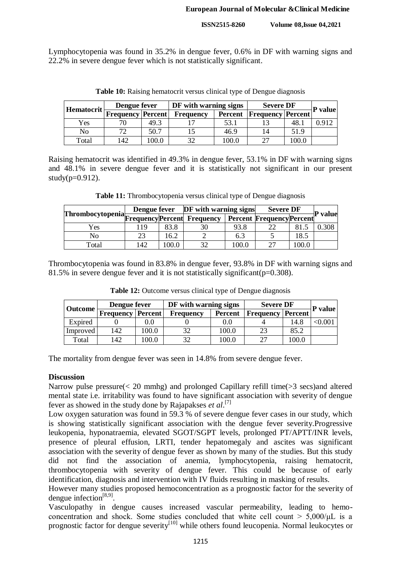Lymphocytopenia was found in 35.2% in dengue fever, 0.6% in DF with warning signs and 22.2% in severe dengue fever which is not statistically significant.

| Hematocrit | Dengue fever             |       | DF with warning signs |         | <b>Severe DF</b>         | <b>P</b> value |       |
|------------|--------------------------|-------|-----------------------|---------|--------------------------|----------------|-------|
|            | <b>Frequency Percent</b> |       | <b>Frequency</b>      | Percent | <b>Frequency Percent</b> |                |       |
| Yes        | 70                       | 49.3  |                       | 53.1    |                          | 48.            | 0.912 |
| No         | 72                       | 50.7  |                       | 46.9    |                          | 51.9           |       |
| Total      | 142                      | 100.0 |                       | 100.0   |                          | 100.0          |       |

**Table 10:** Raising hematocrit versus clinical type of Dengue diagnosis

Raising hematocrit was identified in 49.3% in dengue fever, 53.1% in DF with warning signs and 48.1% in severe dengue fever and it is statistically not significant in our present study( $p=0.912$ ).

**Table 11:** Thrombocytopenia versus clinical type of Dengue diagnosis

|                                                |    |      | Dengue fever DF with warning signs |       | <b>Severe DF</b>                 |       |                |
|------------------------------------------------|----|------|------------------------------------|-------|----------------------------------|-------|----------------|
| Thrombocytopenia<br>FrequencyPercent Frequency |    |      |                                    |       | <b>Percent Frequency Percent</b> |       | <b>P</b> value |
| Yes                                            | 19 | 83.8 | 30                                 | 93.8  |                                  | 81.5  | 0.308          |
| No                                             |    | 16.2 |                                    | 6.3   |                                  | 18.5  |                |
| Total                                          | 42 | 0.00 | 37                                 | 100.0 | רר                               | 100.0 |                |

Thrombocytopenia was found in 83.8% in dengue fever, 93.8% in DF with warning signs and 81.5% in severe dengue fever and it is not statistically significant  $(p=0.308)$ .

| Outcome  | Dengue fever             |       | DF with warning signs |                | <b>Severe DF</b>         | <b>P</b> value |      |
|----------|--------------------------|-------|-----------------------|----------------|--------------------------|----------------|------|
|          | <b>Frequency Percent</b> |       | <b>Frequency</b>      | <b>Percent</b> | <b>Frequency Percent</b> |                |      |
| Expired  |                          |       |                       | 0.0            |                          | 14.8           | 0.00 |
| Improved | 142                      | 0.00  | 32                    | 100.0          | 23                       | 85.2           |      |
| Total    | 142                      | .00.0 | 37                    | 100.0          | 27                       | 100.0          |      |

Table 12: Outcome versus clinical type of Dengue diagnosis

The mortality from dengue fever was seen in 14.8% from severe dengue fever.

#### **Discussion**

Narrow pulse pressure(< 20 mmhg) and prolonged Capillary refill time(>3 secs)and altered mental state i.e. irritability was found to have significant association with severity of dengue fever as showed in the study done by Rajapakses *et al*. [7]

Low oxygen saturation was found in 59.3 % of severe dengue fever cases in our study, which is showing statistically significant association with the dengue fever severity.Progressive leukopenia, hyponatraemia, elevated SGOT/SGPT levels, prolonged PT/APTT/INR levels, presence of pleural effusion, LRTI, tender hepatomegaly and ascites was significant association with the severity of dengue fever as shown by many of the studies. But this study did not find the association of anemia, lymphocytopenia, raising hematocrit, thrombocytopenia with severity of dengue fever. This could be because of early identification, diagnosis and intervention with IV fluids resulting in masking of results.

However many studies proposed hemoconcentration as a prognostic factor for the severity of dengue infection $[8,9]$ .

Vasculopathy in dengue causes increased vascular permeability, leading to hemoconcentration and shock. Some studies concluded that white cell count  $> 5,000/\mu$ L is a prognostic factor for dengue severity<sup>[10]</sup> while others found leucopenia. Normal leukocytes or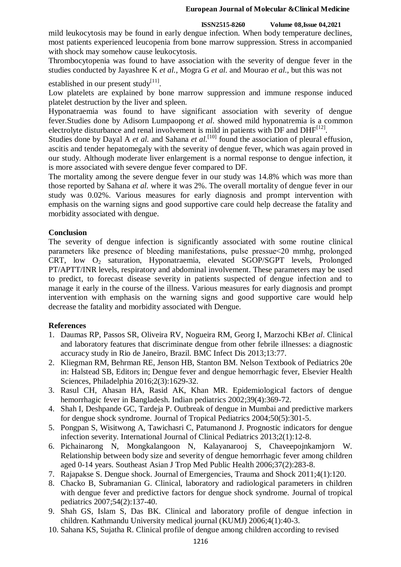mild leukocytosis may be found in early dengue infection. When body temperature declines, most patients experienced leucopenia from bone marrow suppression. Stress in accompanied with shock may somehow cause leukocytosis.

Thrombocytopenia was found to have association with the severity of dengue fever in the studies conducted by Jayashree K *et al.*, Mogra G *et al.* and Mourao *et al.*, but this was not

established in our present study<sup>[11]</sup>.

Low platelets are explained by bone marrow suppression and immune response induced platelet destruction by the liver and spleen.

Hyponatraemia was found to have significant association with severity of dengue fever.Studies done by Adisorn Lumpaopong *et al.* showed mild hyponatremia is a common electrolyte disturbance and renal involvement is mild in patients with DF and  $DHF^{[12]}$ .

Studies done by Dayal A *et al.* and Sahana *et al.*<sup>[10]</sup> found the association of pleural effusion, ascitis and tender hepatomegaly with the severity of dengue fever, which was again proved in our study. Although moderate liver enlargement is a normal response to dengue infection, it is more associated with severe dengue fever compared to DF.

The mortality among the severe dengue fever in our study was 14.8% which was more than those reported by Sahana *et al.* where it was 2%. The overall mortality of dengue fever in our study was 0.02%. Various measures for early diagnosis and prompt intervention with emphasis on the warning signs and good supportive care could help decrease the fatality and morbidity associated with dengue.

## **Conclusion**

The severity of dengue infection is significantly associated with some routine clinical parameters like presence of bleeding manifestations, pulse pressue˂20 mmhg, prolonged CRT, low O<sub>2</sub> saturation, Hyponatraemia, elevated SGOP/SGPT levels, Prolonged PT/APTT/INR levels, respiratory and abdominal involvement. These parameters may be used to predict, to forecast disease severity in patients suspected of dengue infection and to manage it early in the course of the illness. Various measures for early diagnosis and prompt intervention with emphasis on the warning signs and good supportive care would help decrease the fatality and morbidity associated with Dengue.

## **References**

- 1. Daumas RP, Passos SR, Oliveira RV, Nogueira RM, Georg I, Marzochi KB*et al*. Clinical and laboratory features that discriminate dengue from other febrile illnesses: a diagnostic accuracy study in Rio de Janeiro, Brazil. BMC Infect Dis 2013;13:77.
- 2. Kliegman RM, Behrman RE, Jenson HB, Stanton BM. Nelson Textbook of Pediatrics 20e in: Halstead SB, Editors in; Dengue fever and dengue hemorrhagic fever, Elsevier Health Sciences, Philadelphia 2016;2(3):1629-32.
- 3. Rasul CH, Ahasan HA, Rasid AK, Khan MR. Epidemiological factors of dengue hemorrhagic fever in Bangladesh. Indian pediatrics 2002;39(4):369-72.
- 4. Shah I, Deshpande GC, Tardeja P. Outbreak of dengue in Mumbai and predictive markers for dengue shock syndrome. Journal of Tropical Pediatrics 2004;50(5):301-5.
- 5. Pongpan S, Wisitwong A, Tawichasri C, Patumanond J. Prognostic indicators for dengue infection severity. International Journal of Clinical Pediatrics 2013;2(1):12-8.
- 6. Pichainarong N, Mongkalangoon N, Kalayanarooj S, Chaveepojnkamjorn W. Relationship between body size and severity of dengue hemorrhagic fever among children aged 0-14 years. Southeast Asian J Trop Med Public Health 2006;37(2):283-8.
- 7. Rajapakse S. Dengue shock. Journal of Emergencies, Trauma and Shock 2011;4(1):120.
- 8. Chacko B, Subramanian G. Clinical, laboratory and radiological parameters in children with dengue fever and predictive factors for dengue shock syndrome. Journal of tropical pediatrics 2007;54(2):137-40.
- 9. Shah GS, Islam S, Das BK. Clinical and laboratory profile of dengue infection in children. Kathmandu University medical journal (KUMJ) 2006;4(1):40-3.
- 10. Sahana KS, Sujatha R. Clinical profile of dengue among children according to revised